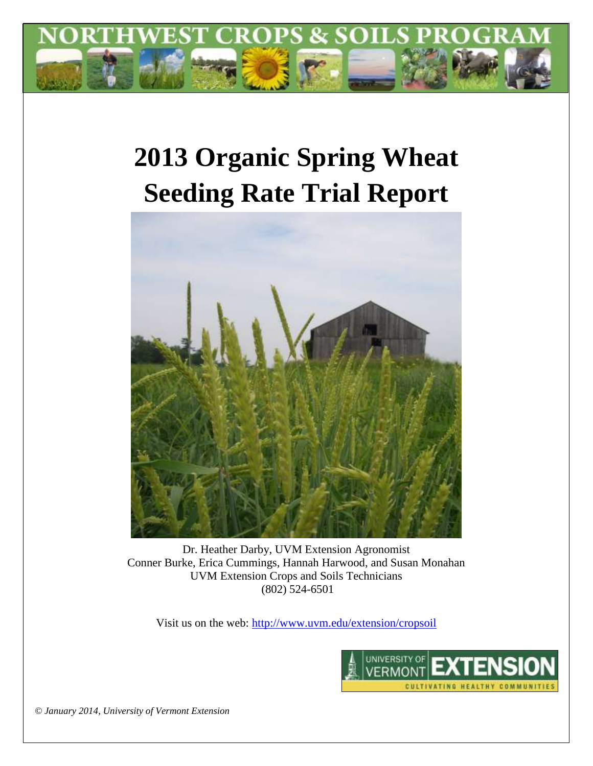

# **2013 Organic Spring Wheat Seeding Rate Trial Report**



Dr. Heather Darby, UVM Extension Agronomist Conner Burke, Erica Cummings, Hannah Harwood, and Susan Monahan UVM Extension Crops and Soils Technicians (802) 524-6501

Visit us on the web:<http://www.uvm.edu/extension/cropsoil>



*© January 2014, University of Vermont Extension*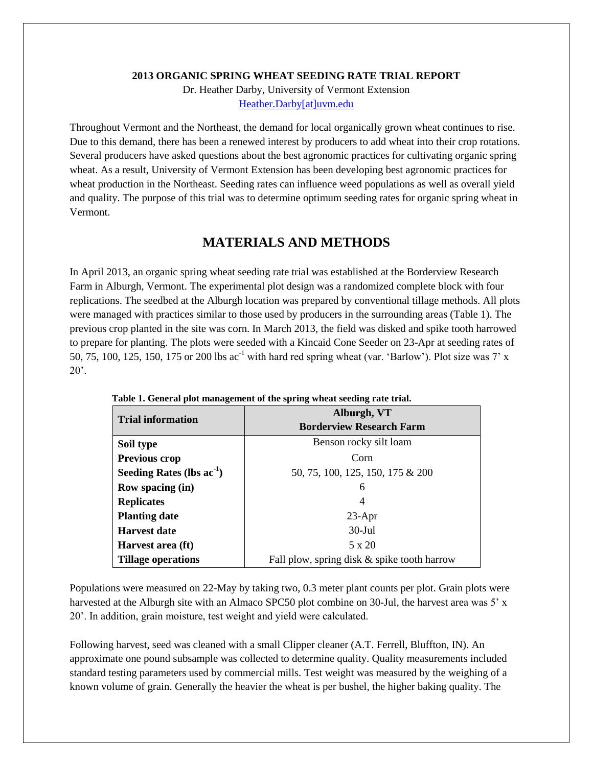#### **2013 ORGANIC SPRING WHEAT SEEDING RATE TRIAL REPORT**

Dr. Heather Darby, University of Vermont Extension [Heather.Darby\[at\]uvm.edu](mailto:Heather.Darby@uvm.edu)

Throughout Vermont and the Northeast, the demand for local organically grown wheat continues to rise. Due to this demand, there has been a renewed interest by producers to add wheat into their crop rotations. Several producers have asked questions about the best agronomic practices for cultivating organic spring wheat. As a result, University of Vermont Extension has been developing best agronomic practices for wheat production in the Northeast. Seeding rates can influence weed populations as well as overall yield and quality. The purpose of this trial was to determine optimum seeding rates for organic spring wheat in Vermont.

### **MATERIALS AND METHODS**

In April 2013, an organic spring wheat seeding rate trial was established at the Borderview Research Farm in Alburgh, Vermont. The experimental plot design was a randomized complete block with four replications. The seedbed at the Alburgh location was prepared by conventional tillage methods. All plots were managed with practices similar to those used by producers in the surrounding areas (Table 1). The previous crop planted in the site was corn. In March 2013, the field was disked and spike tooth harrowed to prepare for planting. The plots were seeded with a Kincaid Cone Seeder on 23-Apr at seeding rates of 50, 75, 100, 125, 150, 175 or 200 lbs ac<sup>-1</sup> with hard red spring wheat (var. 'Barlow'). Plot size was 7' x  $20^\circ$ .

| <b>Trial information</b>       | Alburgh, VT                                 |  |  |
|--------------------------------|---------------------------------------------|--|--|
|                                | <b>Borderview Research Farm</b>             |  |  |
| Soil type                      | Benson rocky silt loam                      |  |  |
| <b>Previous crop</b>           | Corn                                        |  |  |
| Seeding Rates (lbs $ac^{-1}$ ) | 50, 75, 100, 125, 150, 175 & 200            |  |  |
| <b>Row spacing (in)</b>        | 6                                           |  |  |
| <b>Replicates</b>              | 4                                           |  |  |
| <b>Planting date</b>           | $23$ -Apr                                   |  |  |
| <b>Harvest date</b>            | $30$ -Jul                                   |  |  |
| Harvest area (ft)              | 5 x 20                                      |  |  |
| <b>Tillage operations</b>      | Fall plow, spring disk & spike tooth harrow |  |  |

**Table 1. General plot management of the spring wheat seeding rate trial.**

Populations were measured on 22-May by taking two, 0.3 meter plant counts per plot. Grain plots were harvested at the Alburgh site with an Almaco SPC50 plot combine on 30-Jul, the harvest area was 5' x 20'. In addition, grain moisture, test weight and yield were calculated.

Following harvest, seed was cleaned with a small Clipper cleaner (A.T. Ferrell, Bluffton, IN). An approximate one pound subsample was collected to determine quality. Quality measurements included standard testing parameters used by commercial mills. Test weight was measured by the weighing of a known volume of grain. Generally the heavier the wheat is per bushel, the higher baking quality. The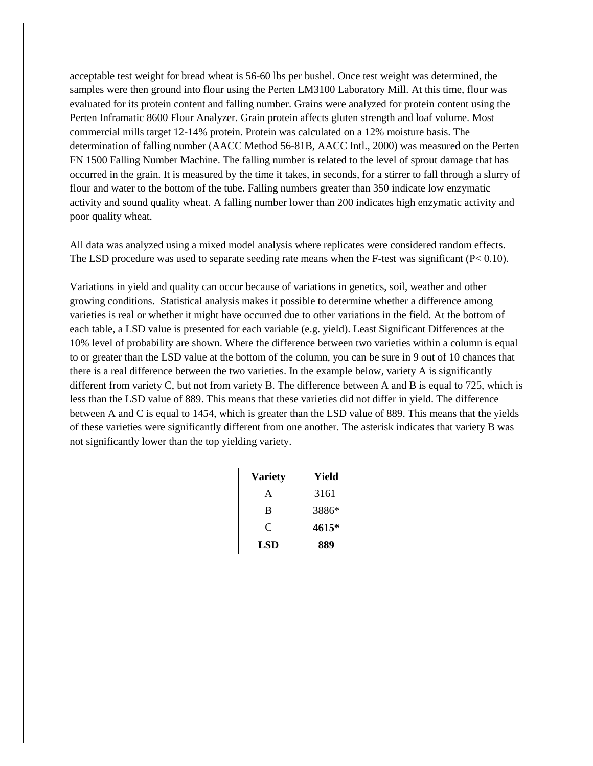acceptable test weight for bread wheat is 56-60 lbs per bushel. Once test weight was determined, the samples were then ground into flour using the Perten LM3100 Laboratory Mill. At this time, flour was evaluated for its protein content and falling number. Grains were analyzed for protein content using the Perten Inframatic 8600 Flour Analyzer. Grain protein affects gluten strength and loaf volume. Most commercial mills target 12-14% protein. Protein was calculated on a 12% moisture basis. The determination of falling number (AACC Method 56-81B, AACC Intl., 2000) was measured on the Perten FN 1500 Falling Number Machine. The falling number is related to the level of sprout damage that has occurred in the grain. It is measured by the time it takes, in seconds, for a stirrer to fall through a slurry of flour and water to the bottom of the tube. Falling numbers greater than 350 indicate low enzymatic activity and sound quality wheat. A falling number lower than 200 indicates high enzymatic activity and poor quality wheat.

All data was analyzed using a mixed model analysis where replicates were considered random effects. The LSD procedure was used to separate seeding rate means when the F-test was significant  $(P< 0.10)$ .

Variations in yield and quality can occur because of variations in genetics, soil, weather and other growing conditions. Statistical analysis makes it possible to determine whether a difference among varieties is real or whether it might have occurred due to other variations in the field. At the bottom of each table, a LSD value is presented for each variable (e.g. yield). Least Significant Differences at the 10% level of probability are shown. Where the difference between two varieties within a column is equal to or greater than the LSD value at the bottom of the column, you can be sure in 9 out of 10 chances that there is a real difference between the two varieties. In the example below, variety A is significantly different from variety C, but not from variety B. The difference between A and B is equal to 725, which is less than the LSD value of 889. This means that these varieties did not differ in yield. The difference between A and C is equal to 1454, which is greater than the LSD value of 889. This means that the yields of these varieties were significantly different from one another. The asterisk indicates that variety B was not significantly lower than the top yielding variety.

| <b>Variety</b> | Yield |
|----------------|-------|
| A              | 3161  |
| B              | 3886* |
| C              | 4615* |
| LSD            | 889   |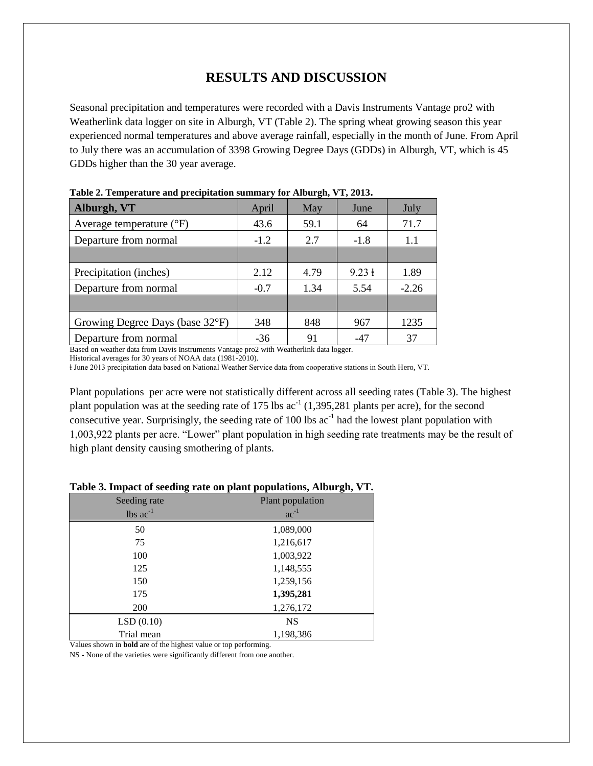## **RESULTS AND DISCUSSION**

Seasonal precipitation and temperatures were recorded with a Davis Instruments Vantage pro2 with Weatherlink data logger on site in Alburgh, VT (Table 2). The spring wheat growing season this year experienced normal temperatures and above average rainfall, especially in the month of June. From April to July there was an accumulation of 3398 Growing Degree Days (GDDs) in Alburgh, VT, which is 45 GDDs higher than the 30 year average.

| тамк 2. генірегани сана ріссірінной запішагу тог тимаген, у ту 2010. |        |      |                   |         |
|----------------------------------------------------------------------|--------|------|-------------------|---------|
| Alburgh, VT                                                          | April  | May  | June              | July    |
| Average temperature $({}^{\circ}F)$                                  | 43.6   | 59.1 | 64                | 71.7    |
| Departure from normal                                                | $-1.2$ | 2.7  | $-1.8$            | 1.1     |
|                                                                      |        |      |                   |         |
| Precipitation (inches)                                               | 2.12   | 4.79 | $9.23 \text{ }$ + | 1.89    |
| Departure from normal                                                | $-0.7$ | 1.34 | 5.54              | $-2.26$ |
|                                                                      |        |      |                   |         |
| Growing Degree Days (base 32°F)                                      | 348    | 848  | 967               | 1235    |
| Departure from normal                                                | $-36$  | 91   | $-47$             | 37      |

| Table 2. Temperature and precipitation summary for Alburgh, VT, 2013. |  |  |  |
|-----------------------------------------------------------------------|--|--|--|
|-----------------------------------------------------------------------|--|--|--|

Based on weather data from Davis Instruments Vantage pro2 with Weatherlink data logger.

Historical averages for 30 years of NOAA data (1981-2010).

ⱡ June 2013 precipitation data based on National Weather Service data from cooperative stations in South Hero, VT.

Plant populations per acre were not statistically different across all seeding rates (Table 3). The highest plant population was at the seeding rate of  $175 \text{ lbs}$  ac<sup>-1</sup>  $(1,395,281$  plants per acre), for the second consecutive year. Surprisingly, the seeding rate of 100 lbs  $ac^{-1}$  had the lowest plant population with 1,003,922 plants per acre. "Lower" plant population in high seeding rate treatments may be the result of high plant density causing smothering of plants.

| <u>raoic of impact of security rate on plant populations, riloal gilly a</u> |                  |  |  |  |
|------------------------------------------------------------------------------|------------------|--|--|--|
| Seeding rate                                                                 | Plant population |  |  |  |
| lbs $ac^{-1}$                                                                | $ac^{-1}$        |  |  |  |
| 50                                                                           | 1,089,000        |  |  |  |
| 75                                                                           | 1,216,617        |  |  |  |
| 100                                                                          | 1,003,922        |  |  |  |
| 125                                                                          | 1,148,555        |  |  |  |
| 150                                                                          | 1,259,156        |  |  |  |
| 175                                                                          | 1,395,281        |  |  |  |
| 200                                                                          | 1,276,172        |  |  |  |
| LSD(0.10)                                                                    | <b>NS</b>        |  |  |  |
| Trial mean                                                                   | 1,198,386        |  |  |  |

#### **Table 3. Impact of seeding rate on plant populations, Alburgh, VT.**

Values shown in **bold** are of the highest value or top performing.

NS - None of the varieties were significantly different from one another.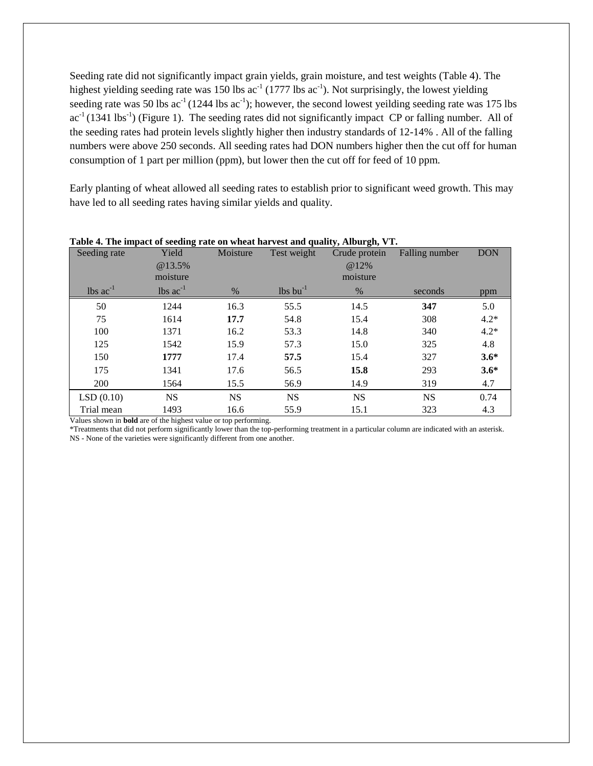Seeding rate did not significantly impact grain yields, grain moisture, and test weights (Table 4). The highest yielding seeding rate was 150 lbs  $ac^{-1}$  (1777 lbs  $ac^{-1}$ ). Not surprisingly, the lowest yielding seeding rate was 50 lbs  $ac^{-1}(1244 \text{ lbs } ac^{-1})$ ; however, the second lowest yeilding seeding rate was 175 lbs  $ac^{-1}(1341 \text{ lbs}^{-1})$  (Figure 1). The seeding rates did not significantly impact CP or falling number. All of the seeding rates had protein levels slightly higher then industry standards of 12-14% . All of the falling numbers were above 250 seconds. All seeding rates had DON numbers higher then the cut off for human consumption of 1 part per million (ppm), but lower then the cut off for feed of 10 ppm.

Early planting of wheat allowed all seeding rates to establish prior to significant weed growth. This may have led to all seeding rates having similar yields and quality.

| Seeding rate                  | Yield<br>@13.5%<br>moisture   | Moisture  | Test weight                        | $77 - 17$<br>Crude protein<br>@12%<br>moisture | Falling number | <b>DON</b> |
|-------------------------------|-------------------------------|-----------|------------------------------------|------------------------------------------------|----------------|------------|
| $\text{ lbs } \text{ac}^{-1}$ | $\text{lbs}$ ac <sup>-1</sup> | $\%$      | $\frac{1}{5}$ lbs bu <sup>-1</sup> | $\%$                                           | seconds        | ppm        |
| 50                            | 1244                          | 16.3      | 55.5                               | 14.5                                           | 347            | 5.0        |
| 75                            | 1614                          | 17.7      | 54.8                               | 15.4                                           | 308            | $4.2*$     |
| 100                           | 1371                          | 16.2      | 53.3                               | 14.8                                           | 340            | $4.2*$     |
| 125                           | 1542                          | 15.9      | 57.3                               | 15.0                                           | 325            | 4.8        |
| 150                           | 1777                          | 17.4      | 57.5                               | 15.4                                           | 327            | $3.6*$     |
| 175                           | 1341                          | 17.6      | 56.5                               | 15.8                                           | 293            | $3.6*$     |
| 200                           | 1564                          | 15.5      | 56.9                               | 14.9                                           | 319            | 4.7        |
| LSD(0.10)                     | <b>NS</b>                     | <b>NS</b> | <b>NS</b>                          | <b>NS</b>                                      | <b>NS</b>      | 0.74       |
| Trial mean                    | 1493                          | 16.6      | 55.9                               | 15.1                                           | 323            | 4.3        |

#### **Table 4. The impact of seeding rate on wheat harvest and quality, Alburgh, VT.**

Values shown in **bold** are of the highest value or top performing.

\*Treatments that did not perform significantly lower than the top-performing treatment in a particular column are indicated with an asterisk. NS - None of the varieties were significantly different from one another.